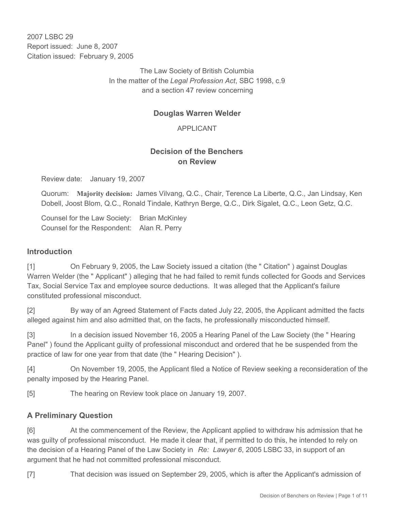2007 LSBC 29 Report issued: June 8, 2007 Citation issued: February 9, 2005

> The Law Society of British Columbia In the matter of the *Legal Profession Act*, SBC 1998, c.9 and a section 47 review concerning

# **Douglas Warren Welder**

APPLICANT

# **Decision of the Benchers on Review**

Review date: January 19, 2007

Quorum: **Majority decision:** James Vilvang, Q.C., Chair, Terence La Liberte, Q.C., Jan Lindsay, Ken Dobell, Joost Blom, Q.C., Ronald Tindale, Kathryn Berge, Q.C., Dirk Sigalet, Q.C., Leon Getz, Q.C.

Counsel for the Law Society: Brian McKinley Counsel for the Respondent: Alan R. Perry

#### **Introduction**

[1] On February 9, 2005, the Law Society issued a citation (the " Citation" ) against Douglas Warren Welder (the " Applicant" ) alleging that he had failed to remit funds collected for Goods and Services Tax, Social Service Tax and employee source deductions. It was alleged that the Applicant's failure constituted professional misconduct.

[2] By way of an Agreed Statement of Facts dated July 22, 2005, the Applicant admitted the facts alleged against him and also admitted that, on the facts, he professionally misconducted himself.

[3] In a decision issued November 16, 2005 a Hearing Panel of the Law Society (the " Hearing Panel" ) found the Applicant guilty of professional misconduct and ordered that he be suspended from the practice of law for one year from that date (the " Hearing Decision" ).

[4] On November 19, 2005, the Applicant filed a Notice of Review seeking a reconsideration of the penalty imposed by the Hearing Panel.

[5] The hearing on Review took place on January 19, 2007.

## **A Preliminary Question**

[6] At the commencement of the Review, the Applicant applied to withdraw his admission that he was guilty of professional misconduct. He made it clear that, if permitted to do this, he intended to rely on the decision of a Hearing Panel of the Law Society in *Re: Lawyer 6*, 2005 LSBC 33, in support of an argument that he had not committed professional misconduct.

[7] That decision was issued on September 29, 2005, which is after the Applicant's admission of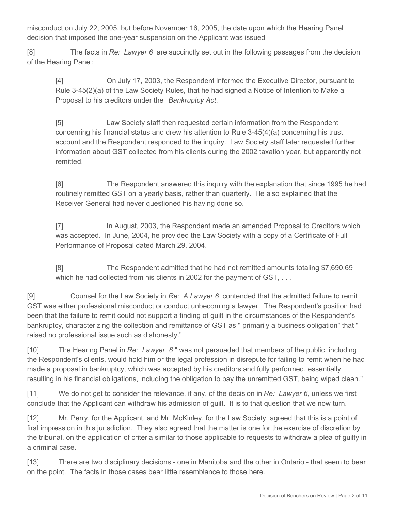misconduct on July 22, 2005, but before November 16, 2005, the date upon which the Hearing Panel decision that imposed the one-year suspension on the Applicant was issued

[8] The facts in *Re: Lawyer 6* are succinctly set out in the following passages from the decision of the Hearing Panel:

[4] On July 17, 2003, the Respondent informed the Executive Director, pursuant to Rule 3-45(2)(a) of the Law Society Rules, that he had signed a Notice of Intention to Make a Proposal to his creditors under the *Bankruptcy Act*.

[5] Law Society staff then requested certain information from the Respondent concerning his financial status and drew his attention to Rule 3-45(4)(a) concerning his trust account and the Respondent responded to the inquiry. Law Society staff later requested further information about GST collected from his clients during the 2002 taxation year, but apparently not remitted.

[6] The Respondent answered this inquiry with the explanation that since 1995 he had routinely remitted GST on a yearly basis, rather than quarterly. He also explained that the Receiver General had never questioned his having done so.

[7] In August, 2003, the Respondent made an amended Proposal to Creditors which was accepted. In June, 2004, he provided the Law Society with a copy of a Certificate of Full Performance of Proposal dated March 29, 2004.

[8] The Respondent admitted that he had not remitted amounts totaling \$7,690.69 which he had collected from his clients in 2002 for the payment of GST, ...

[9] Counsel for the Law Society in *Re: A Lawyer 6* contended that the admitted failure to remit GST was either professional misconduct or conduct unbecoming a lawyer. The Respondent's position had been that the failure to remit could not support a finding of guilt in the circumstances of the Respondent's bankruptcy, characterizing the collection and remittance of GST as " primarily a business obligation" that " raised no professional issue such as dishonesty."

[10] The Hearing Panel in *Re: Lawyer 6* " was not persuaded that members of the public, including the Respondent's clients, would hold him or the legal profession in disrepute for failing to remit when he had made a proposal in bankruptcy, which was accepted by his creditors and fully performed, essentially resulting in his financial obligations, including the obligation to pay the unremitted GST, being wiped clean."

[11] We do not get to consider the relevance, if any, of the decision in *Re: Lawyer 6*, unless we first conclude that the Applicant can withdraw his admission of guilt. It is to that question that we now turn.

[12] Mr. Perry, for the Applicant, and Mr. McKinley, for the Law Society, agreed that this is a point of first impression in this jurisdiction. They also agreed that the matter is one for the exercise of discretion by the tribunal, on the application of criteria similar to those applicable to requests to withdraw a plea of guilty in a criminal case.

[13] There are two disciplinary decisions - one in Manitoba and the other in Ontario - that seem to bear on the point. The facts in those cases bear little resemblance to those here.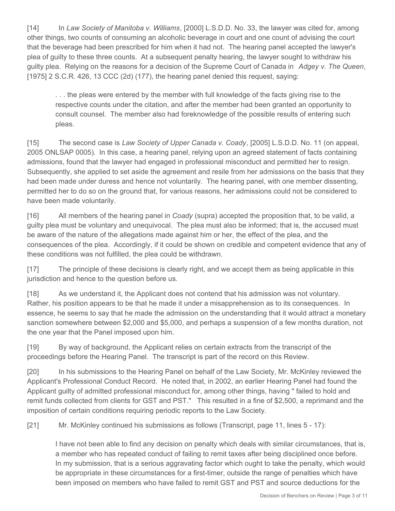[14] In *Law Society of Manitoba v. Williams*, [2000] L.S.D.D. No. 33, the lawyer was cited for, among other things, two counts of consuming an alcoholic beverage in court and one count of advising the court that the beverage had been prescribed for him when it had not. The hearing panel accepted the lawyer's plea of guilty to these three counts. At a subsequent penalty hearing, the lawyer sought to withdraw his guilty plea. Relying on the reasons for a decision of the Supreme Court of Canada in *Adgey v. The Queen*, [1975] 2 S.C.R. 426, 13 CCC (2d) (177), the hearing panel denied this request, saying:

. . . the pleas were entered by the member with full knowledge of the facts giving rise to the respective counts under the citation, and after the member had been granted an opportunity to consult counsel. The member also had foreknowledge of the possible results of entering such pleas.

[15] The second case is *Law Society of Upper Canada v. Coady*, [2005] L.S.D.D. No. 11 (on appeal, 2005 ONLSAP 0005)*.* In this case, a hearing panel, relying upon an agreed statement of facts containing admissions, found that the lawyer had engaged in professional misconduct and permitted her to resign. Subsequently, she applied to set aside the agreement and resile from her admissions on the basis that they had been made under duress and hence not voluntarily. The hearing panel, with one member dissenting, permitted her to do so on the ground that, for various reasons, her admissions could not be considered to have been made voluntarily.

[16] All members of the hearing panel in *Coady* (supra) accepted the proposition that, to be valid, a guilty plea must be voluntary and unequivocal. The plea must also be informed; that is, the accused must be aware of the nature of the allegations made against him or her, the effect of the plea, and the consequences of the plea. Accordingly, if it could be shown on credible and competent evidence that any of these conditions was not fulfilled, the plea could be withdrawn.

[17] The principle of these decisions is clearly right, and we accept them as being applicable in this jurisdiction and hence to the question before us.

[18] As we understand it, the Applicant does not contend that his admission was not voluntary. Rather, his position appears to be that he made it under a misapprehension as to its consequences. In essence, he seems to say that he made the admission on the understanding that it would attract a monetary sanction somewhere between \$2,000 and \$5,000, and perhaps a suspension of a few months duration, not the one year that the Panel imposed upon him.

[19] By way of background, the Applicant relies on certain extracts from the transcript of the proceedings before the Hearing Panel. The transcript is part of the record on this Review.

[20] In his submissions to the Hearing Panel on behalf of the Law Society, Mr. McKinley reviewed the Applicant's Professional Conduct Record. He noted that, in 2002, an earlier Hearing Panel had found the Applicant guilty of admitted professional misconduct for, among other things, having " failed to hold and remit funds collected from clients for GST and PST." This resulted in a fine of \$2,500, a reprimand and the imposition of certain conditions requiring periodic reports to the Law Society.

[21] Mr. McKinley continued his submissions as follows (Transcript, page 11, lines 5 - 17):

I have not been able to find any decision on penalty which deals with similar circumstances, that is, a member who has repeated conduct of failing to remit taxes after being disciplined once before. In my submission, that is a serious aggravating factor which ought to take the penalty, which would be appropriate in these circumstances for a first-timer, outside the range of penalties which have been imposed on members who have failed to remit GST and PST and source deductions for the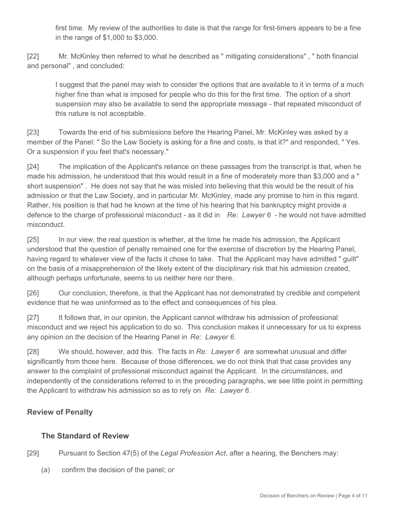first time. My review of the authorities to date is that the range for first-timers appears to be a fine in the range of \$1,000 to \$3,000.

[22] Mr. McKinley then referred to what he described as " mitigating considerations" , " both financial and personal" , and concluded:

I suggest that the panel may wish to consider the options that are available to it in terms of a much higher fine than what is imposed for people who do this for the first time. The option of a short suspension may also be available to send the appropriate message - that repeated misconduct of this nature is not acceptable.

[23] Towards the end of his submissions before the Hearing Panel, Mr. McKinley was asked by a member of the Panel: " So the Law Society is asking for a fine and costs, is that it?" and responded, " Yes. Or a suspension if you feel that's necessary."

[24] The implication of the Applicant's reliance on these passages from the transcript is that, when he made his admission, he understood that this would result in a fine of moderately more than \$3,000 and a " short suspension" . He does not say that he was misled into believing that this would be the result of his admission or that the Law Society, and in particular Mr. McKinley, made any promise to him in this regard. Rather, his position is that had he known at the time of his hearing that his bankruptcy might provide a defence to the charge of professional misconduct - as it did in *Re: Lawyer 6* - he would not have admitted misconduct.

[25] In our view, the real question is whether, at the time he made his admission, the Applicant understood that the question of penalty remained one for the exercise of discretion by the Hearing Panel, having regard to whatever view of the facts it chose to take. That the Applicant may have admitted " guilt" on the basis of a misapprehension of the likely extent of the disciplinary risk that his admission created, although perhaps unfortunate, seems to us neither here nor there.

[26] Our conclusion, therefore, is that the Applicant has not demonstrated by credible and competent evidence that he was uninformed as to the effect and consequences of his plea.

[27] It follows that, in our opinion, the Applicant cannot withdraw his admission of professional misconduct and we reject his application to do so. This conclusion makes it unnecessary for us to express any opinion on the decision of the Hearing Panel in *Re: Lawyer 6*.

[28] We should, however, add this. The facts in *Re: Lawyer 6* are somewhat unusual and differ significantly from those here. Because of those differences, we do not think that that case provides any answer to the complaint of professional misconduct against the Applicant. In the circumstances, and independently of the considerations referred to in the preceding paragraphs, we see little point in permitting the Applicant to withdraw his admission so as to rely on *Re: Lawyer 6*.

# **Review of Penalty**

# **The Standard of Review**

[29] Pursuant to Section 47(5) of the *Legal Profession Act*, after a hearing, the Benchers may:

(a) confirm the decision of the panel; or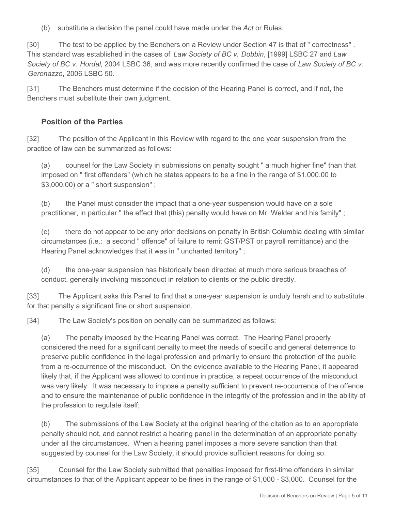(b) substitute a decision the panel could have made under the *Act* or Rules.

[30] The test to be applied by the Benchers on a Review under Section 47 is that of " correctness" . This standard was established in the cases of *Law Society of BC v. Dobbin*, [1999] LSBC 27 and *Law Society of BC v. Hordal*, 2004 LSBC 36, and was more recently confirmed the case of *Law Society of BC v. Geronazzo*, 2006 LSBC 50.

[31] The Benchers must determine if the decision of the Hearing Panel is correct, and if not, the Benchers must substitute their own judgment.

# **Position of the Parties**

[32] The position of the Applicant in this Review with regard to the one year suspension from the practice of law can be summarized as follows:

(a) counsel for the Law Society in submissions on penalty sought " a much higher fine" than that imposed on " first offenders" (which he states appears to be a fine in the range of \$1,000.00 to \$3,000.00) or a " short suspension" ;

(b) the Panel must consider the impact that a one-year suspension would have on a sole practitioner, in particular " the effect that (this) penalty would have on Mr. Welder and his family" ;

(c) there do not appear to be any prior decisions on penalty in British Columbia dealing with similar circumstances (i.e.: a second " offence" of failure to remit GST/PST or payroll remittance) and the Hearing Panel acknowledges that it was in " uncharted territory" ;

(d) the one-year suspension has historically been directed at much more serious breaches of conduct, generally involving misconduct in relation to clients or the public directly.

[33] The Applicant asks this Panel to find that a one-year suspension is unduly harsh and to substitute for that penalty a significant fine or short suspension.

[34] The Law Society's position on penalty can be summarized as follows:

(a) The penalty imposed by the Hearing Panel was correct. The Hearing Panel properly considered the need for a significant penalty to meet the needs of specific and general deterrence to preserve public confidence in the legal profession and primarily to ensure the protection of the public from a re-occurrence of the misconduct. On the evidence available to the Hearing Panel, it appeared likely that, if the Applicant was allowed to continue in practice, a repeat occurrence of the misconduct was very likely. It was necessary to impose a penalty sufficient to prevent re-occurrence of the offence and to ensure the maintenance of public confidence in the integrity of the profession and in the ability of the profession to regulate itself;

(b) The submissions of the Law Society at the original hearing of the citation as to an appropriate penalty should not, and cannot restrict a hearing panel in the determination of an appropriate penalty under all the circumstances. When a hearing panel imposes a more severe sanction than that suggested by counsel for the Law Society, it should provide sufficient reasons for doing so.

[35] Counsel for the Law Society submitted that penalties imposed for first-time offenders in similar circumstances to that of the Applicant appear to be fines in the range of \$1,000 - \$3,000. Counsel for the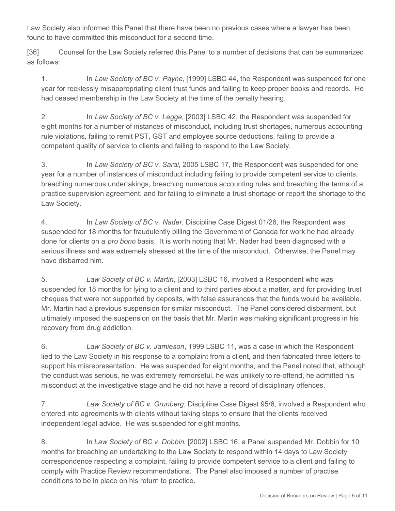Law Society also informed this Panel that there have been no previous cases where a lawyer has been found to have committed this misconduct for a second time.

[36] Counsel for the Law Society referred this Panel to a number of decisions that can be summarized as follows:

1. In *Law Society of BC v. Payne,* [1999] LSBC 44, the Respondent was suspended for one year for recklessly misappropriating client trust funds and failing to keep proper books and records. He had ceased membership in the Law Society at the time of the penalty hearing.

2. In *Law Society of BC v. Legge,* [2003] LSBC 42, the Respondent was suspended for eight months for a number of instances of misconduct, including trust shortages, numerous accounting rule violations, failing to remit PST, GST and employee source deductions, failing to provide a competent quality of service to clients and failing to respond to the Law Society.

3. In *Law Society of BC v. Sarai*, 2005 LSBC 17, the Respondent was suspended for one year for a number of instances of misconduct including failing to provide competent service to clients, breaching numerous undertakings, breaching numerous accounting rules and breaching the terms of a practice supervision agreement, and for failing to eliminate a trust shortage or report the shortage to the Law Society.

4. In *Law Society of BC v. Nader*, Discipline Case Digest 01/26, the Respondent was suspended for 18 months for fraudulently billing the Government of Canada for work he had already done for clients on a *pro bono* basis. It is worth noting that Mr. Nader had been diagnosed with a serious illness and was extremely stressed at the time of the misconduct. Otherwise, the Panel may have disbarred him.

5. *Law Society of BC v. Martin*, [2003] LSBC 16, involved a Respondent who was suspended for 18 months for lying to a client and to third parties about a matter, and for providing trust cheques that were not supported by deposits, with false assurances that the funds would be available. Mr. Martin had a previous suspension for similar misconduct. The Panel considered disbarment, but ultimately imposed the suspension on the basis that Mr. Martin was making significant progress in his recovery from drug addiction.

6. *Law Society of BC v. Jamieson*, 1999 LSBC 11, was a case in which the Respondent lied to the Law Society in his response to a complaint from a client, and then fabricated three letters to support his misrepresentation. He was suspended for eight months, and the Panel noted that, although the conduct was serious, he was extremely remorseful, he was unlikely to re-offend, he admitted his misconduct at the investigative stage and he did not have a record of disciplinary offences.

7. *Law Society of BC v. Grunberg*, Discipline Case Digest 95/6, involved a Respondent who entered into agreements with clients without taking steps to ensure that the clients received independent legal advice. He was suspended for eight months.

8. In *Law Society of BC v. Dobbin*, [2002] LSBC 16, a Panel suspended Mr. Dobbin for 10 months for breaching an undertaking to the Law Society to respond within 14 days to Law Society correspondence respecting a complaint, failing to provide competent service to a client and failing to comply with Practice Review recommendations. The Panel also imposed a number of practise conditions to be in place on his return to practice.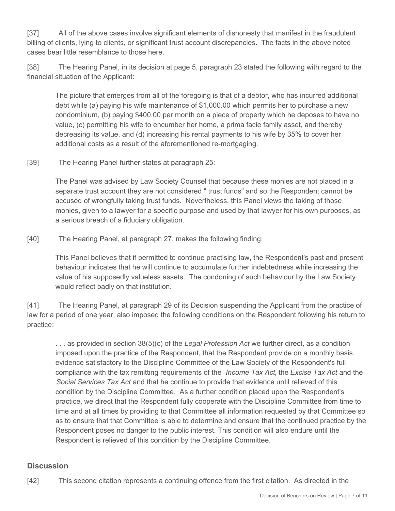[37] All of the above cases involve significant elements of dishonesty that manifest in the fraudulent billing of clients, lying to clients, or significant trust account discrepancies. The facts in the above noted cases bear little resemblance to those here.

[38] The Hearing Panel, in its decision at page 5, paragraph 23 stated the following with regard to the financial situation of the Applicant:

The picture that emerges from all of the foregoing is that of a debtor, who has incurred additional debt while (a) paying his wife maintenance of \$1,000.00 which permits her to purchase a new condominium, (b) paying \$400.00 per month on a piece of property which he deposes to have no value, (c) permitting his wife to encumber her home, a prima facie family asset, and thereby decreasing its value, and (d) increasing his rental payments to his wife by 35% to cover her additional costs as a result of the aforementioned re-mortgaging.

#### [39] The Hearing Panel further states at paragraph 25:

The Panel was advised by Law Society Counsel that because these monies are not placed in a separate trust account they are not considered " trust funds" and so the Respondent cannot be accused of wrongfully taking trust funds. Nevertheless, this Panel views the taking of those monies, given to a lawyer for a specific purpose and used by that lawyer for his own purposes, as a serious breach of a fiduciary obligation.

[40] The Hearing Panel, at paragraph 27, makes the following finding:

This Panel believes that if permitted to continue practising law, the Respondent's past and present behaviour indicates that he will continue to accumulate further indebtedness while increasing the value of his supposedly valueless assets. The condoning of such behaviour by the Law Society would reflect badly on that institution.

[41] The Hearing Panel, at paragraph 29 of its Decision suspending the Applicant from the practice of law for a period of one year, also imposed the following conditions on the Respondent following his return to practice:

. . . as provided in section 38(5)(c) of the *Legal Profession Act* we further direct, as a condition imposed upon the practice of the Respondent, that the Respondent provide on a monthly basis, evidence satisfactory to the Discipline Committee of the Law Society of the Respondent's full compliance with the tax remitting requirements of the *Income Tax Act*, the *Excise Tax Act* and the *Social Services Tax Act* and that he continue to provide that evidence until relieved of this condition by the Discipline Committee. As a further condition placed upon the Respondent's practice, we direct that the Respondent fully cooperate with the Discipline Committee from time to time and at all times by providing to that Committee all information requested by that Committee so as to ensure that that Committee is able to determine and ensure that the continued practice by the Respondent poses no danger to the public interest. This condition will also endure until the Respondent is relieved of this condition by the Discipline Committee.

## **Discussion**

[42] This second citation represents a continuing offence from the first citation. As directed in the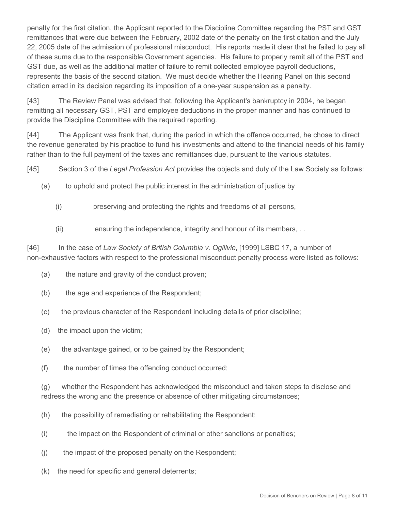penalty for the first citation, the Applicant reported to the Discipline Committee regarding the PST and GST remittances that were due between the February, 2002 date of the penalty on the first citation and the July 22, 2005 date of the admission of professional misconduct. His reports made it clear that he failed to pay all of these sums due to the responsible Government agencies. His failure to properly remit all of the PST and GST due, as well as the additional matter of failure to remit collected employee payroll deductions, represents the basis of the second citation. We must decide whether the Hearing Panel on this second citation erred in its decision regarding its imposition of a one-year suspension as a penalty.

[43] The Review Panel was advised that, following the Applicant's bankruptcy in 2004, he began remitting all necessary GST, PST and employee deductions in the proper manner and has continued to provide the Discipline Committee with the required reporting.

[44] The Applicant was frank that, during the period in which the offence occurred, he chose to direct the revenue generated by his practice to fund his investments and attend to the financial needs of his family rather than to the full payment of the taxes and remittances due, pursuant to the various statutes.

[45] Section 3 of the *Legal Profession Act* provides the objects and duty of the Law Society as follows:

- (a) to uphold and protect the public interest in the administration of justice by
	- (i) preserving and protecting the rights and freedoms of all persons,
	- (ii) ensuring the independence, integrity and honour of its members, . .

[46] In the case of *Law Society of British Columbia v. Ogilivie*, [1999] LSBC 17, a number of non-exhaustive factors with respect to the professional misconduct penalty process were listed as follows:

- (a) the nature and gravity of the conduct proven;
- (b) the age and experience of the Respondent;
- (c) the previous character of the Respondent including details of prior discipline;
- (d) the impact upon the victim;
- (e) the advantage gained, or to be gained by the Respondent;
- (f) the number of times the offending conduct occurred;

(g) whether the Respondent has acknowledged the misconduct and taken steps to disclose and redress the wrong and the presence or absence of other mitigating circumstances;

- (h) the possibility of remediating or rehabilitating the Respondent;
- (i) the impact on the Respondent of criminal or other sanctions or penalties;
- (j) the impact of the proposed penalty on the Respondent;
- (k) the need for specific and general deterrents;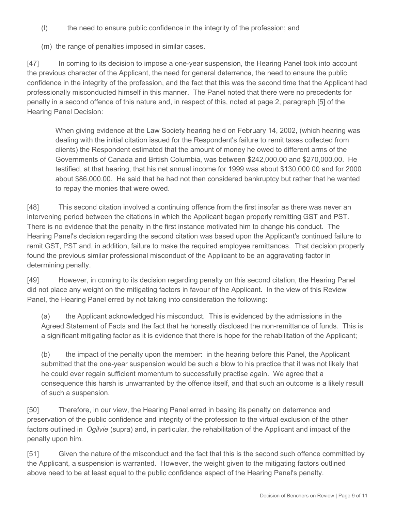- (l) the need to ensure public confidence in the integrity of the profession; and
- (m) the range of penalties imposed in similar cases.

[47] In coming to its decision to impose a one-year suspension, the Hearing Panel took into account the previous character of the Applicant, the need for general deterrence, the need to ensure the public confidence in the integrity of the profession, and the fact that this was the second time that the Applicant had professionally misconducted himself in this manner. The Panel noted that there were no precedents for penalty in a second offence of this nature and, in respect of this, noted at page 2, paragraph [5] of the Hearing Panel Decision:

When giving evidence at the Law Society hearing held on February 14, 2002, (which hearing was dealing with the initial citation issued for the Respondent's failure to remit taxes collected from clients) the Respondent estimated that the amount of money he owed to different arms of the Governments of Canada and British Columbia, was between \$242,000.00 and \$270,000.00. He testified, at that hearing, that his net annual income for 1999 was about \$130,000.00 and for 2000 about \$86,000.00. He said that he had not then considered bankruptcy but rather that he wanted to repay the monies that were owed.

[48] This second citation involved a continuing offence from the first insofar as there was never an intervening period between the citations in which the Applicant began properly remitting GST and PST. There is no evidence that the penalty in the first instance motivated him to change his conduct. The Hearing Panel's decision regarding the second citation was based upon the Applicant's continued failure to remit GST, PST and, in addition, failure to make the required employee remittances. That decision properly found the previous similar professional misconduct of the Applicant to be an aggravating factor in determining penalty.

[49] However, in coming to its decision regarding penalty on this second citation, the Hearing Panel did not place any weight on the mitigating factors in favour of the Applicant. In the view of this Review Panel, the Hearing Panel erred by not taking into consideration the following:

(a) the Applicant acknowledged his misconduct. This is evidenced by the admissions in the Agreed Statement of Facts and the fact that he honestly disclosed the non-remittance of funds. This is a significant mitigating factor as it is evidence that there is hope for the rehabilitation of the Applicant;

(b) the impact of the penalty upon the member: in the hearing before this Panel, the Applicant submitted that the one-year suspension would be such a blow to his practice that it was not likely that he could ever regain sufficient momentum to successfully practise again. We agree that a consequence this harsh is unwarranted by the offence itself, and that such an outcome is a likely result of such a suspension.

[50] Therefore, in our view, the Hearing Panel erred in basing its penalty on deterrence and preservation of the public confidence and integrity of the profession to the virtual exclusion of the other factors outlined in *Ogilvie* (supra) and, in particular, the rehabilitation of the Applicant and impact of the penalty upon him.

[51] Given the nature of the misconduct and the fact that this is the second such offence committed by the Applicant, a suspension is warranted. However, the weight given to the mitigating factors outlined above need to be at least equal to the public confidence aspect of the Hearing Panel's penalty.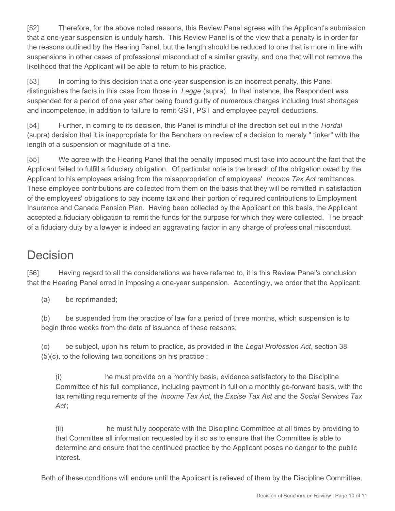[52] Therefore, for the above noted reasons, this Review Panel agrees with the Applicant's submission that a one-year suspension is unduly harsh. This Review Panel is of the view that a penalty is in order for the reasons outlined by the Hearing Panel, but the length should be reduced to one that is more in line with suspensions in other cases of professional misconduct of a similar gravity, and one that will not remove the likelihood that the Applicant will be able to return to his practice.

[53] In coming to this decision that a one-year suspension is an incorrect penalty, this Panel distinguishes the facts in this case from those in *Legge* (supra).In that instance, the Respondent was suspended for a period of one year after being found guilty of numerous charges including trust shortages and incompetence, in addition to failure to remit GST, PST and employee payroll deductions.

[54] Further, in coming to its decision, this Panel is mindful of the direction set out in the *Hordal* (supra) decision that it is inappropriate for the Benchers on review of a decision to merely " tinker" with the length of a suspension or magnitude of a fine.

[55] We agree with the Hearing Panel that the penalty imposed must take into account the fact that the Applicant failed to fulfill a fiduciary obligation. Of particular note is the breach of the obligation owed by the Applicant to his employees arising from the misappropriation of employees' *Income Tax Act* remittances. These employee contributions are collected from them on the basis that they will be remitted in satisfaction of the employees' obligations to pay income tax and their portion of required contributions to Employment Insurance and Canada Pension Plan. Having been collected by the Applicant on this basis, the Applicant accepted a fiduciary obligation to remit the funds for the purpose for which they were collected. The breach of a fiduciary duty by a lawyer is indeed an aggravating factor in any charge of professional misconduct.

# **Decision**

[56] Having regard to all the considerations we have referred to, it is this Review Panel's conclusion that the Hearing Panel erred in imposing a one-year suspension. Accordingly, we order that the Applicant:

(a) be reprimanded;

(b) be suspended from the practice of law for a period of three months, which suspension is to begin three weeks from the date of issuance of these reasons;

(c) be subject, upon his return to practice, as provided in the *Legal Profession Act*, section 38 (5)(c), to the following two conditions on his practice :

(i) he must provide on a monthly basis, evidence satisfactory to the Discipline Committee of his full compliance, including payment in full on a monthly go-forward basis, with the tax remitting requirements of the *Income Tax Act*, the *Excise Tax Act* and the *Social Services Tax Act*;

(ii) he must fully cooperate with the Discipline Committee at all times by providing to that Committee all information requested by it so as to ensure that the Committee is able to determine and ensure that the continued practice by the Applicant poses no danger to the public interest.

Both of these conditions will endure until the Applicant is relieved of them by the Discipline Committee.